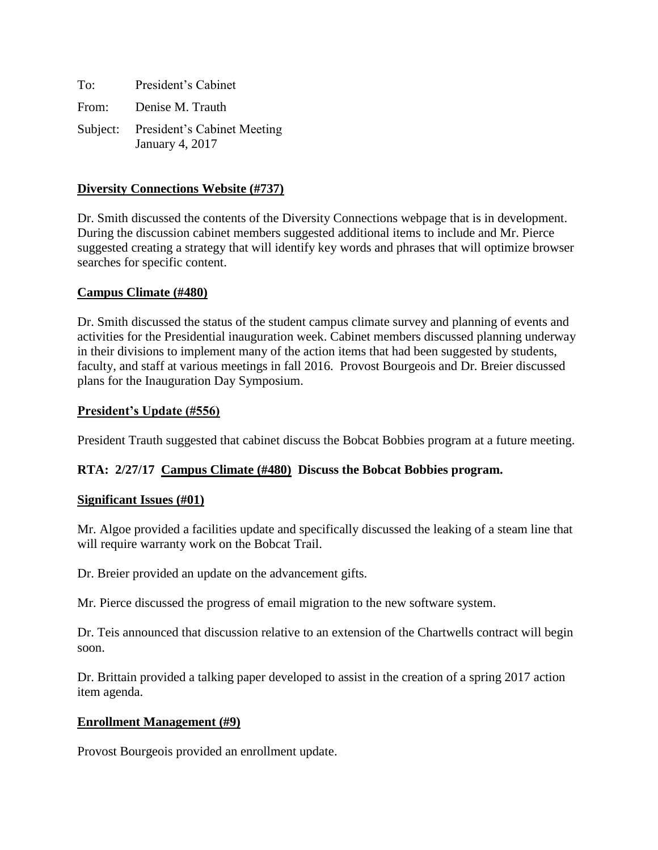| To: | President's Cabinet                                            |
|-----|----------------------------------------------------------------|
|     | From: Denise M. Trauth                                         |
|     | Subject: President's Cabinet Meeting<br><b>January 4, 2017</b> |

## **Diversity Connections Website (#737)**

Dr. Smith discussed the contents of the Diversity Connections webpage that is in development. During the discussion cabinet members suggested additional items to include and Mr. Pierce suggested creating a strategy that will identify key words and phrases that will optimize browser searches for specific content.

### **Campus Climate (#480)**

Dr. Smith discussed the status of the student campus climate survey and planning of events and activities for the Presidential inauguration week. Cabinet members discussed planning underway in their divisions to implement many of the action items that had been suggested by students, faculty, and staff at various meetings in fall 2016. Provost Bourgeois and Dr. Breier discussed plans for the Inauguration Day Symposium.

### **President's Update (#556)**

President Trauth suggested that cabinet discuss the Bobcat Bobbies program at a future meeting.

# **RTA: 2/27/17 Campus Climate (#480) Discuss the Bobcat Bobbies program.**

### **Significant Issues (#01)**

Mr. Algoe provided a facilities update and specifically discussed the leaking of a steam line that will require warranty work on the Bobcat Trail.

Dr. Breier provided an update on the advancement gifts.

Mr. Pierce discussed the progress of email migration to the new software system.

Dr. Teis announced that discussion relative to an extension of the Chartwells contract will begin soon.

Dr. Brittain provided a talking paper developed to assist in the creation of a spring 2017 action item agenda.

### **Enrollment Management (#9)**

Provost Bourgeois provided an enrollment update.